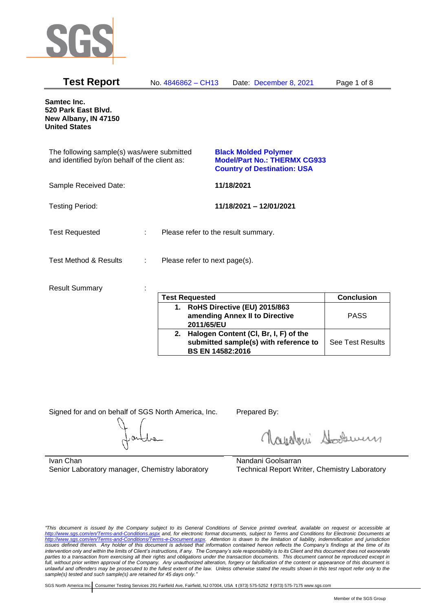

| <b>Test Report</b>                                                                          | No. 4846862 - CH13                 | Date: December 8, 2021                                                                                   | Page 1 of 8                 |
|---------------------------------------------------------------------------------------------|------------------------------------|----------------------------------------------------------------------------------------------------------|-----------------------------|
| Samtec Inc.<br>520 Park East Blvd.<br>New Albany, IN 47150<br><b>United States</b>          |                                    |                                                                                                          |                             |
| The following sample(s) was/were submitted<br>and identified by/on behalf of the client as: |                                    | <b>Black Molded Polymer</b><br><b>Model/Part No.: THERMX CG933</b><br><b>Country of Destination: USA</b> |                             |
| Sample Received Date:                                                                       |                                    | 11/18/2021                                                                                               |                             |
| <b>Testing Period:</b>                                                                      |                                    | 11/18/2021 - 12/01/2021                                                                                  |                             |
| <b>Test Requested</b>                                                                       | t.                                 | Please refer to the result summary.                                                                      |                             |
| <b>Test Method &amp; Results</b>                                                            | Please refer to next page(s).<br>÷ |                                                                                                          |                             |
| <b>Result Summary</b>                                                                       | $T - 10 - 1$<br>المتحديث           |                                                                                                          | $\bigcap$ and all $\bigcap$ |

| <b>Test Requested</b>                                                                                        | <b>Conclusion</b>       |
|--------------------------------------------------------------------------------------------------------------|-------------------------|
| 1. RoHS Directive (EU) 2015/863<br>amending Annex II to Directive<br>2011/65/EU                              | <b>PASS</b>             |
| 2. Halogen Content (CI, Br, I, F) of the<br>submitted sample(s) with reference to<br><b>BS EN 14582:2016</b> | <b>See Test Results</b> |

Signed for and on behalf of SGS North America, Inc. Prepared By:

Royalmi Souri

Ivan Chan Senior Laboratory manager, Chemistry laboratory

Nandani Goolsarran Technical Report Writer, Chemistry Laboratory

*"This document is issued by the Company subject to its General Conditions of Service printed overleaf, available on request or accessible at <http://www.sgs.com/en/Terms-and-Conditions.aspx> and, for electronic format documents, subject to Terms and Conditions for Electronic Documents at [http://www.sgs.com/en/Terms-and-Conditions/Terms-e-Document.aspx.](http://www.sgs.com/en/Terms-and-Conditions/Terms-e-Document.aspx) Attention is drawn to the limitation of liability, indemnification and jurisdiction issues defined therein. Any holder of this document is advised that information contained hereon reflects the Company's findings at the time of its intervention only and within the limits of Client's instructions, if any. The Company's sole responsibility is to its Client and this document does not exonerate parties to a transaction from exercising all their rights and obligations under the transaction documents. This document cannot be reproduced except in full, without prior written approval of the Company. Any unauthorized alteration, forgery or falsification of the content or appearance of this document is unlawful and offenders may be prosecuted to the fullest extent of the law. Unless otherwise stated the results shown in this test report refer only to the sample(s) tested and such sample(s) are retained for 45 days only."*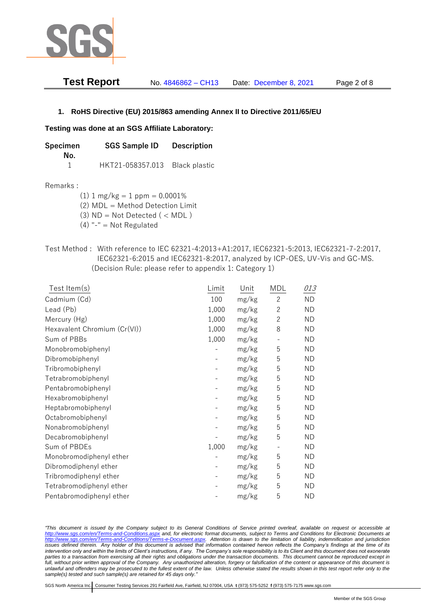

| <b>Test Report</b> | No. 4846862 - CH13 | Date: December 8, 2021 | Page 2 of 8 |
|--------------------|--------------------|------------------------|-------------|
|--------------------|--------------------|------------------------|-------------|

## **1. RoHS Directive (EU) 2015/863 amending Annex II to Directive 2011/65/EU**

### **Testing was done at an SGS Affiliate Laboratory:**

| Specimen | <b>SGS Sample ID</b>           | <b>Description</b> |  |
|----------|--------------------------------|--------------------|--|
| No.      |                                |                    |  |
|          | HKT21-058357.013 Black plastic |                    |  |

### Remarks :

(1)  $1 \text{ mg/kg} = 1 \text{ ppm} = 0.0001\%$ 

(2) MDL = Method Detection Limit

(3)  $ND = Not detected$  ( < MDL)

- (4) "-" = Not Regulated
- Test Method : With reference to IEC 62321-4:2013+A1:2017, IEC62321-5:2013, IEC62321-7-2:2017, IEC62321-6:2015 and IEC62321-8:2017, analyzed by ICP-OES, UV-Vis and GC-MS. (Decision Rule: please refer to appendix 1: Category 1)

| Test Item(s)                 | Limit | Unit  | MDL            | 013       |
|------------------------------|-------|-------|----------------|-----------|
| Cadmium (Cd)                 | 100   | mg/kg | $\mathbf{2}$   | <b>ND</b> |
| Lead (Pb)                    | 1,000 | mg/kg | $\mathbf{2}$   | <b>ND</b> |
| Mercury (Hg)                 | 1,000 | mg/kg | $\overline{2}$ | <b>ND</b> |
| Hexavalent Chromium (Cr(VI)) | 1,000 | mg/kg | 8              | <b>ND</b> |
| Sum of PBBs                  | 1,000 | mg/kg |                | <b>ND</b> |
| Monobromobiphenyl            |       | mg/kg | 5              | <b>ND</b> |
| Dibromobiphenyl              |       | mg/kg | 5              | <b>ND</b> |
| Tribromobiphenyl             |       | mg/kg | 5              | <b>ND</b> |
| Tetrabromobiphenyl           |       | mg/kg | 5              | <b>ND</b> |
| Pentabromobiphenyl           |       | mg/kg | 5              | <b>ND</b> |
| Hexabromobiphenyl            |       | mg/kg | 5              | <b>ND</b> |
| Heptabromobiphenyl           |       | mg/kg | 5              | <b>ND</b> |
| Octabromobiphenyl            |       | mg/kg | 5              | <b>ND</b> |
| Nonabromobiphenyl            |       | mg/kg | 5              | <b>ND</b> |
| Decabromobiphenyl            |       | mg/kg | 5              | <b>ND</b> |
| Sum of PBDEs                 | 1,000 | mg/kg |                | <b>ND</b> |
| Monobromodiphenyl ether      |       | mg/kg | 5              | <b>ND</b> |
| Dibromodiphenyl ether        |       | mg/kg | 5              | <b>ND</b> |
| Tribromodiphenyl ether       |       | mg/kg | 5              | <b>ND</b> |
| Tetrabromodiphenyl ether     |       | mg/kg | 5              | <b>ND</b> |
| Pentabromodiphenyl ether     |       | mg/kg | 5              | <b>ND</b> |

*"This document is issued by the Company subject to its General Conditions of Service printed overleaf, available on request or accessible at <http://www.sgs.com/en/Terms-and-Conditions.aspx> and, for electronic format documents, subject to Terms and Conditions for Electronic Documents at [http://www.sgs.com/en/Terms-and-Conditions/Terms-e-Document.aspx.](http://www.sgs.com/en/Terms-and-Conditions/Terms-e-Document.aspx) Attention is drawn to the limitation of liability, indemnification and jurisdiction issues defined therein. Any holder of this document is advised that information contained hereon reflects the Company's findings at the time of its intervention only and within the limits of Client's instructions, if any. The Company's sole responsibility is to its Client and this document does not exonerate*  parties to a transaction from exercising all their rights and obligations under the transaction documents. This document cannot be reproduced except in *full, without prior written approval of the Company. Any unauthorized alteration, forgery or falsification of the content or appearance of this document is unlawful and offenders may be prosecuted to the fullest extent of the law. Unless otherwise stated the results shown in this test report refer only to the sample(s) tested and such sample(s) are retained for 45 days only."*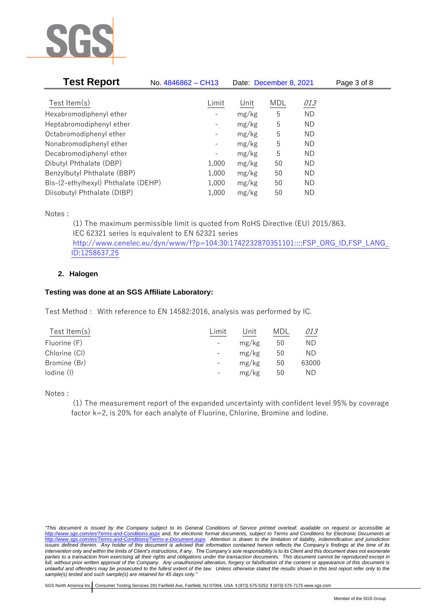

| <b>Test Report</b>                  | No. 4846862 - CH13           | Date: December 8, 2021 |            |           | Page 3 of 8 |
|-------------------------------------|------------------------------|------------------------|------------|-----------|-------------|
|                                     |                              |                        |            |           |             |
| Test Item $(s)$                     | Limit                        | Unit                   | <b>MDL</b> | 013       |             |
| Hexabromodiphenyl ether             |                              | mg/kg                  | 5          | <b>ND</b> |             |
| Heptabromodiphenyl ether            |                              | mg/kg                  | 5          | ND        |             |
| Octabromodiphenyl ether             | -                            | mg/kg                  | 5          | ΝD        |             |
| Nonabromodiphenyl ether             | -                            | mg/kg                  | 5          | ΝD        |             |
| Decabromodiphenyl ether             | $\qquad \qquad \blacksquare$ | mg/kg                  | 5          | ΝD        |             |
| Dibutyl Phthalate (DBP)             | 1,000                        | mg/kg                  | 50         | ΝD        |             |
| Benzylbutyl Phthalate (BBP)         | 1,000                        | mg/kg                  | 50         | ΝD        |             |
| Bis-(2-ethylhexyl) Phthalate (DEHP) | 1,000                        | mg/kg                  | 50         | ΝD        |             |
| Diisobutyl Phthalate (DIBP)         | 1,000                        | mg/kg                  | 50         | ND        |             |

Notes :

(1) The maximum permissible limit is quoted from RoHS Directive (EU) 2015/863. IEC 62321 series is equivalent to EN 62321 series [http://www.cenelec.eu/dyn/www/f?p=104:30:1742232870351101::::FSP\\_ORG\\_ID,FSP\\_LANG\\_](http://www.cenelec.eu/dyn/www/f?p=104:30:1742232870351101::::FSP_ORG_ID,FSP_LANG_ID:1258637,25) [ID:1258637,25](http://www.cenelec.eu/dyn/www/f?p=104:30:1742232870351101::::FSP_ORG_ID,FSP_LANG_ID:1258637,25)

## **2. Halogen**

## **Testing was done at an SGS Affiliate Laboratory:**

Test Method : With reference to EN 14582:2016, analysis was performed by IC.

| Test Item $(s)$ | Limit | Unit  | MDL | 013   |
|-----------------|-------|-------|-----|-------|
| Fluorine (F)    |       | mg/kg | 50  | ΝD    |
| Chlorine (CI)   |       | mg/kg | 50  | ΝD    |
| Bromine (Br)    |       | mg/kg | 50  | 63000 |
| lodine (I)      |       | mg/kg | 50  | ΝD    |
|                 |       |       |     |       |

Notes :

(1) The measurement report of the expanded uncertainty with confident level 95% by coverage factor k=2, is 20% for each analyte of Fluorine, Chlorine, Bromine and Iodine.

*<sup>&</sup>quot;This document is issued by the Company subject to its General Conditions of Service printed overleaf, available on request or accessible at <http://www.sgs.com/en/Terms-and-Conditions.aspx> and, for electronic format documents, subject to Terms and Conditions for Electronic Documents at [http://www.sgs.com/en/Terms-and-Conditions/Terms-e-Document.aspx.](http://www.sgs.com/en/Terms-and-Conditions/Terms-e-Document.aspx) Attention is drawn to the limitation of liability, indemnification and jurisdiction issues defined therein. Any holder of this document is advised that information contained hereon reflects the Company's findings at the time of its intervention only and within the limits of Client's instructions, if any. The Company's sole responsibility is to its Client and this document does not exonerate*  parties to a transaction from exercising all their rights and obligations under the transaction documents. This document cannot be reproduced except in *full, without prior written approval of the Company. Any unauthorized alteration, forgery or falsification of the content or appearance of this document is unlawful and offenders may be prosecuted to the fullest extent of the law. Unless otherwise stated the results shown in this test report refer only to the sample(s) tested and such sample(s) are retained for 45 days only."*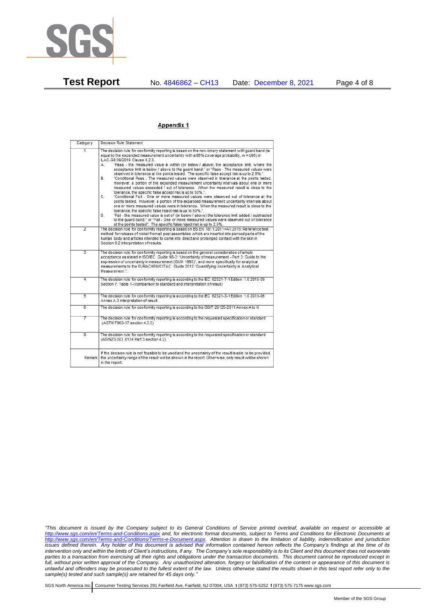

**Test Report** No. 4846862 – CH13 Date: December 8, 2021 Page 4 of 8

#### Appendix 1

| Category       | Decision Rule Statement                                                                                                                                                                                                                                                                                                                                                                                                                                                                                                                                                                                                                                                                                                                                                                                                                                                                                                                                                                                                                                                                                                                                                                                                                                                                                                                                                                                                                                                                                           |  |  |
|----------------|-------------------------------------------------------------------------------------------------------------------------------------------------------------------------------------------------------------------------------------------------------------------------------------------------------------------------------------------------------------------------------------------------------------------------------------------------------------------------------------------------------------------------------------------------------------------------------------------------------------------------------------------------------------------------------------------------------------------------------------------------------------------------------------------------------------------------------------------------------------------------------------------------------------------------------------------------------------------------------------------------------------------------------------------------------------------------------------------------------------------------------------------------------------------------------------------------------------------------------------------------------------------------------------------------------------------------------------------------------------------------------------------------------------------------------------------------------------------------------------------------------------------|--|--|
|                | The decision rule for conformity reporting is based on the non-binary statement with guard band (is<br>equal to the expanded measurement uncertainty with a 95% coverage probability, w = U95) in<br>ILAC-G8:09/2019 Clause 4.2.3.<br>"Pass - the measured value is within (or below / above) the acceptance limit, where the<br>А.<br>acceptance limit is below / above to the quard band," or "Pass - The measured values were<br>observed in tolerance at the points tested. The specific false accept risk is up to 2.5%.".<br>B.<br>"Conditional Pass - The measured values were observed in tolerance at the points tested.<br>However, a portion of the expanded measurement uncertainty intervals about one or more<br>measured values exceeded / out of tolerance. When the measured result is close to the<br>tolerance, the specific false accept risk is up to 50%."<br>C.<br>"Conditional Fail - One or more measured values were observed out of tolerance at the<br>points tested. However, a portion of the expanded measurement uncertainty intervals about<br>one or more measured values were in tolerance. When the measured result is close to the<br>tolerance, the specific false reject risk is up to 50%.".<br>"Fail - the measured value is out of (or below / above) the tolerance limit added / subtracted<br>D.<br>to the quard band." or "Fail - One or more measured values were observed out of tolerance<br>at the points tested". The specific false reject risk is up to 2.5%. |  |  |
| $\overline{2}$ | The decision rule for conformity reporting is based on BS EN 1811:2011+A1:2015: Reference test<br>method for release of nickel from all post assemblies which are inserted into pierced parts of the<br>human body and articles intended to come into direct and prolonged contact with the skin in<br>Section 9.2 interpretation of results.                                                                                                                                                                                                                                                                                                                                                                                                                                                                                                                                                                                                                                                                                                                                                                                                                                                                                                                                                                                                                                                                                                                                                                     |  |  |
| $\overline{3}$ | The decision rule for conformity reporting is based on the general consideration of simple<br>acceptance as stated in ISO/IEC Guide 98-3: "Uncertainty of measurement - Part 3: Guide to the<br>expression of uncertainty in measurement (GUM 1995)", and more specifically for analytical<br>measurements to the EURACHEM/CITAC Guide 2012 "Quantifying Uncertainty in Analytical<br>Measurement *                                                                                                                                                                                                                                                                                                                                                                                                                                                                                                                                                                                                                                                                                                                                                                                                                                                                                                                                                                                                                                                                                                               |  |  |
| 4              | The decision rule for conformity reporting is according to the IEC 62321-7-1 Edition 1.0 2015-09<br>Section 7: Table 1-(comparison to standard and interpretation of result)                                                                                                                                                                                                                                                                                                                                                                                                                                                                                                                                                                                                                                                                                                                                                                                                                                                                                                                                                                                                                                                                                                                                                                                                                                                                                                                                      |  |  |
| 5              | The decision rule for conformity reporting is according to the IEC 62321-3-1 Edition 1.0 2013-06<br>Annex A.3 interpretation of result.                                                                                                                                                                                                                                                                                                                                                                                                                                                                                                                                                                                                                                                                                                                                                                                                                                                                                                                                                                                                                                                                                                                                                                                                                                                                                                                                                                           |  |  |
| 6              | The decision rule for conformity reporting is according to the GB/T 26125-2011 Annex A to H                                                                                                                                                                                                                                                                                                                                                                                                                                                                                                                                                                                                                                                                                                                                                                                                                                                                                                                                                                                                                                                                                                                                                                                                                                                                                                                                                                                                                       |  |  |
| 7              | The decision rule for conformity reporting is according to the requested specification or standard<br>(ASTM F963-17 section 4.3.5)                                                                                                                                                                                                                                                                                                                                                                                                                                                                                                                                                                                                                                                                                                                                                                                                                                                                                                                                                                                                                                                                                                                                                                                                                                                                                                                                                                                |  |  |
| $\overline{8}$ | The decision rule for conformity reporting is according to the requested specification or standard<br>(AS/NZS ISO 8124 Part 3 section 4.2)                                                                                                                                                                                                                                                                                                                                                                                                                                                                                                                                                                                                                                                                                                                                                                                                                                                                                                                                                                                                                                                                                                                                                                                                                                                                                                                                                                        |  |  |
| Remark         | If the decision rule is not feasible to be used and the uncertainty of the result is able to be provided,<br>the uncertainty range of the result will be shown in the report. Otherwise, only result will be shown<br>in the report.                                                                                                                                                                                                                                                                                                                                                                                                                                                                                                                                                                                                                                                                                                                                                                                                                                                                                                                                                                                                                                                                                                                                                                                                                                                                              |  |  |

*"This document is issued by the Company subject to its General Conditions of Service printed overleaf, available on request or accessible at <http://www.sgs.com/en/Terms-and-Conditions.aspx> and, for electronic format documents, subject to Terms and Conditions for Electronic Documents at [http://www.sgs.com/en/Terms-and-Conditions/Terms-e-Document.aspx.](http://www.sgs.com/en/Terms-and-Conditions/Terms-e-Document.aspx) Attention is drawn to the limitation of liability, indemnification and jurisdiction issues defined therein. Any holder of this document is advised that information contained hereon reflects the Company's findings at the time of its intervention only and within the limits of Client's instructions, if any. The Company's sole responsibility is to its Client and this document does not exonerate parties to a transaction from exercising all their rights and obligations under the transaction documents. This document cannot be reproduced except in full, without prior written approval of the Company. Any unauthorized alteration, forgery or falsification of the content or appearance of this document is unlawful and offenders may be prosecuted to the fullest extent of the law. Unless otherwise stated the results shown in this test report refer only to the sample(s) tested and such sample(s) are retained for 45 days only."*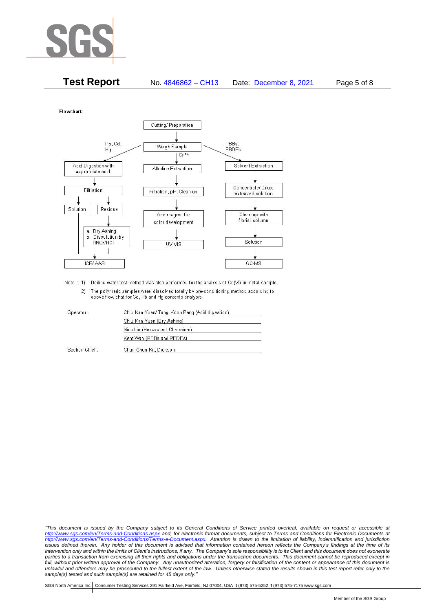

| <b>Test Report</b> | No. 4846862 - CH13 | Date: December 8, 2021 | Page 5 of 8 |
|--------------------|--------------------|------------------------|-------------|
|--------------------|--------------------|------------------------|-------------|

Flowchart:



Note : 1) Boiling water test method was also performed for the analysis of Cr (VI) in metal sample. 2) The polymeric samples were dissolved totally by pre-conditioning method according to above flow chat for Cd, Pb and Hg contents analysis

| Operator:      | Chiu Kan Yuen/ Tang Koon Pang (Acid digestion) |  |
|----------------|------------------------------------------------|--|
|                | Chiu Kan Yuen (Dry Ashing)                     |  |
|                | Nick Liu (Hexavalent Chromium)                 |  |
|                | Kent Wan (PBBs and PBDEs)                      |  |
| Section Chief: | Chan Chun Kit, Dickson                         |  |

*"This document is issued by the Company subject to its General Conditions of Service printed overleaf, available on request or accessible at <http://www.sgs.com/en/Terms-and-Conditions.aspx> and, for electronic format documents, subject to Terms and Conditions for Electronic Documents at [http://www.sgs.com/en/Terms-and-Conditions/Terms-e-Document.aspx.](http://www.sgs.com/en/Terms-and-Conditions/Terms-e-Document.aspx) Attention is drawn to the limitation of liability, indemnification and jurisdiction issues defined therein. Any holder of this document is advised that information contained hereon reflects the Company's findings at the time of its intervention only and within the limits of Client's instructions, if any. The Company's sole responsibility is to its Client and this document does not exonerate*  parties to a transaction from exercising all their rights and obligations under the transaction documents. This document cannot be reproduced except in *full, without prior written approval of the Company. Any unauthorized alteration, forgery or falsification of the content or appearance of this document is unlawful and offenders may be prosecuted to the fullest extent of the law. Unless otherwise stated the results shown in this test report refer only to the sample(s) tested and such sample(s) are retained for 45 days only."*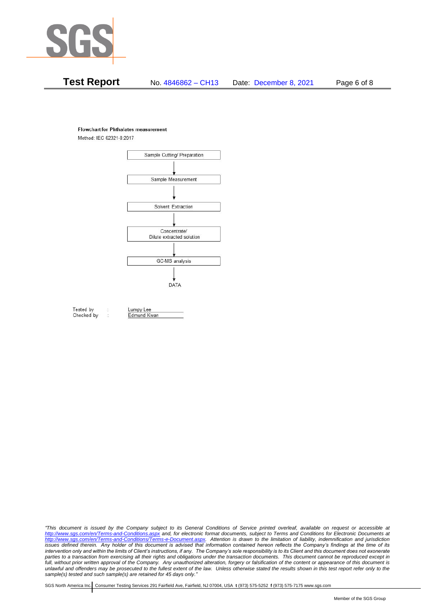

# **Test Report** No. 4846862 – CH13 Date: December 8, 2021 Page 6 of 8

#### **Flowchart for Phthalates measurement**

Method: IEC 62321-8:2017



Tested by Checked by Lumpy Lee

Edmund Kwan

*"This document is issued by the Company subject to its General Conditions of Service printed overleaf, available on request or accessible at <http://www.sgs.com/en/Terms-and-Conditions.aspx> and, for electronic format documents, subject to Terms and Conditions for Electronic Documents at [http://www.sgs.com/en/Terms-and-Conditions/Terms-e-Document.aspx.](http://www.sgs.com/en/Terms-and-Conditions/Terms-e-Document.aspx) Attention is drawn to the limitation of liability, indemnification and jurisdiction issues defined therein. Any holder of this document is advised that information contained hereon reflects the Company's findings at the time of its intervention only and within the limits of Client's instructions, if any. The Company's sole responsibility is to its Client and this document does not exonerate*  parties to a transaction from exercising all their rights and obligations under the transaction documents. This document cannot be reproduced except in *full, without prior written approval of the Company. Any unauthorized alteration, forgery or falsification of the content or appearance of this document is unlawful and offenders may be prosecuted to the fullest extent of the law. Unless otherwise stated the results shown in this test report refer only to the sample(s) tested and such sample(s) are retained for 45 days only."*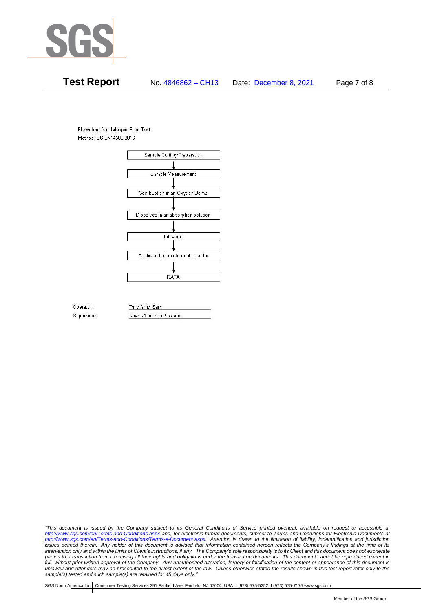

# **Test Report** No. 4846862 – CH13 Date: December 8, 2021 Page 7 of 8

#### **Flowchart for Halogen Free Test**

Method: BS EN14582:2016



Operator: Supervisor: Tang Ying Sam Chan Chun Kit (Dickson)

*"This document is issued by the Company subject to its General Conditions of Service printed overleaf, available on request or accessible at <http://www.sgs.com/en/Terms-and-Conditions.aspx> and, for electronic format documents, subject to Terms and Conditions for Electronic Documents at [http://www.sgs.com/en/Terms-and-Conditions/Terms-e-Document.aspx.](http://www.sgs.com/en/Terms-and-Conditions/Terms-e-Document.aspx) Attention is drawn to the limitation of liability, indemnification and jurisdiction issues defined therein. Any holder of this document is advised that information contained hereon reflects the Company's findings at the time of its intervention only and within the limits of Client's instructions, if any. The Company's sole responsibility is to its Client and this document does not exonerate*  parties to a transaction from exercising all their rights and obligations under the transaction documents. This document cannot be reproduced except in *full, without prior written approval of the Company. Any unauthorized alteration, forgery or falsification of the content or appearance of this document is unlawful and offenders may be prosecuted to the fullest extent of the law. Unless otherwise stated the results shown in this test report refer only to the sample(s) tested and such sample(s) are retained for 45 days only."*